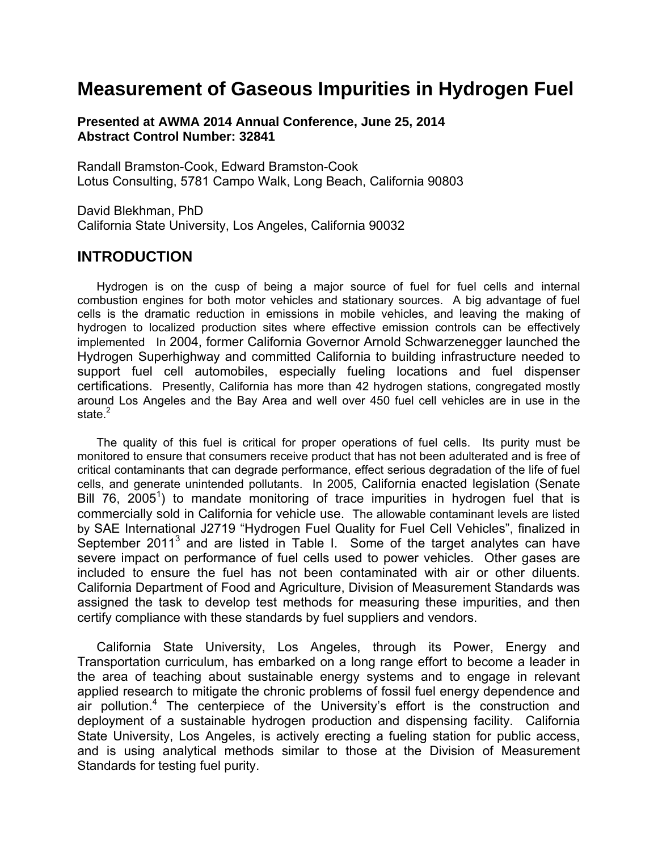# **Measurement of Gaseous Impurities in Hydrogen Fuel**

**Presented at AWMA 2014 Annual Conference, June 25, 2014 Abstract Control Number: 32841** 

Randall Bramston-Cook, Edward Bramston-Cook Lotus Consulting, 5781 Campo Walk, Long Beach, California 90803

David Blekhman, PhD California State University, Los Angeles, California 90032

### **INTRODUCTION**

 Hydrogen is on the cusp of being a major source of fuel for fuel cells and internal combustion engines for both motor vehicles and stationary sources. A big advantage of fuel cells is the dramatic reduction in emissions in mobile vehicles, and leaving the making of hydrogen to localized production sites where effective emission controls can be effectively implemented In 2004, former California Governor Arnold Schwarzenegger launched the Hydrogen Superhighway and committed California to building infrastructure needed to support fuel cell automobiles, especially fueling locations and fuel dispenser certifications. Presently, California has more than 42 hydrogen stations, congregated mostly around Los Angeles and the Bay Area and well over 450 fuel cell vehicles are in use in the state. $2$ 

 The quality of this fuel is critical for proper operations of fuel cells. Its purity must be monitored to ensure that consumers receive product that has not been adulterated and is free of critical contaminants that can degrade performance, effect serious degradation of the life of fuel cells, and generate unintended pollutants. In 2005, California enacted legislation (Senate Bill 76, 2005<sup>1</sup>) to mandate monitoring of trace impurities in hydrogen fuel that is commercially sold in California for vehicle use. The allowable contaminant levels are listed by SAE International J2719 "Hydrogen Fuel Quality for Fuel Cell Vehicles", finalized in September 2011 $3$  and are listed in Table I. Some of the target analytes can have severe impact on performance of fuel cells used to power vehicles. Other gases are included to ensure the fuel has not been contaminated with air or other diluents. California Department of Food and Agriculture, Division of Measurement Standards was assigned the task to develop test methods for measuring these impurities, and then certify compliance with these standards by fuel suppliers and vendors.

 California State University, Los Angeles, through its Power, Energy and Transportation curriculum, has embarked on a long range effort to become a leader in the area of teaching about sustainable energy systems and to engage in relevant applied research to mitigate the chronic problems of fossil fuel energy dependence and air pollution.<sup>4</sup> The centerpiece of the University's effort is the construction and deployment of a sustainable hydrogen production and dispensing facility. California State University, Los Angeles, is actively erecting a fueling station for public access, and is using analytical methods similar to those at the Division of Measurement Standards for testing fuel purity.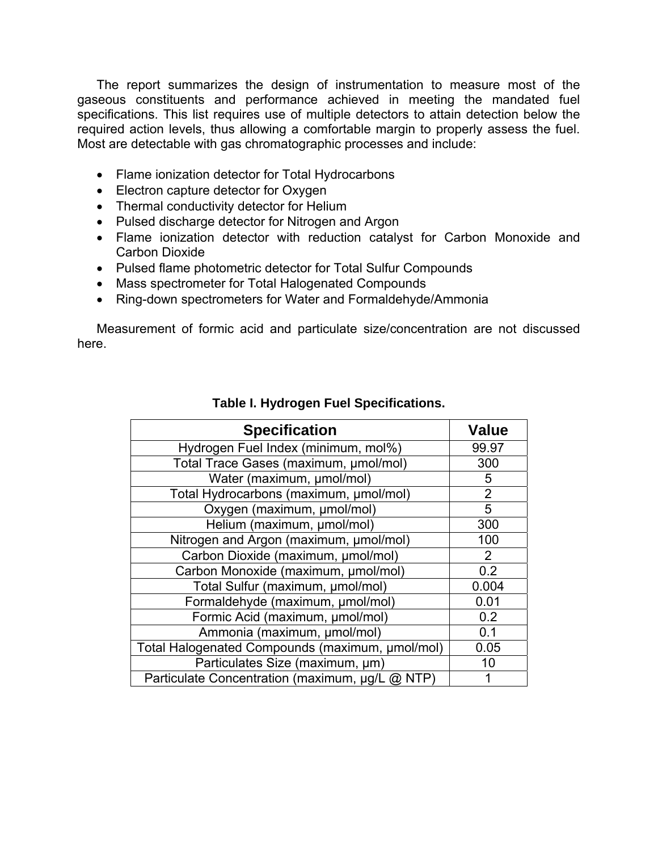The report summarizes the design of instrumentation to measure most of the gaseous constituents and performance achieved in meeting the mandated fuel specifications. This list requires use of multiple detectors to attain detection below the required action levels, thus allowing a comfortable margin to properly assess the fuel. Most are detectable with gas chromatographic processes and include:

- Flame ionization detector for Total Hydrocarbons
- Electron capture detector for Oxygen
- Thermal conductivity detector for Helium
- Pulsed discharge detector for Nitrogen and Argon
- Flame ionization detector with reduction catalyst for Carbon Monoxide and Carbon Dioxide
- Pulsed flame photometric detector for Total Sulfur Compounds
- Mass spectrometer for Total Halogenated Compounds
- Ring-down spectrometers for Water and Formaldehyde/Ammonia

 Measurement of formic acid and particulate size/concentration are not discussed here.

| <b>Specification</b>                            | <b>Value</b>   |
|-------------------------------------------------|----------------|
| Hydrogen Fuel Index (minimum, mol%)             | 99.97          |
| Total Trace Gases (maximum, µmol/mol)           | 300            |
| Water (maximum, µmol/mol)                       | 5              |
| Total Hydrocarbons (maximum, µmol/mol)          | $\overline{2}$ |
| Oxygen (maximum, µmol/mol)                      | 5              |
| Helium (maximum, µmol/mol)                      | 300            |
| Nitrogen and Argon (maximum, µmol/mol)          | 100            |
| Carbon Dioxide (maximum, µmol/mol)              | 2              |
| Carbon Monoxide (maximum, µmol/mol)             | 0.2            |
| Total Sulfur (maximum, umol/mol)                | 0.004          |
| Formaldehyde (maximum, µmol/mol)                | 0.01           |
| Formic Acid (maximum, µmol/mol)                 | 0.2            |
| Ammonia (maximum, µmol/mol)                     | 0.1            |
| Total Halogenated Compounds (maximum, µmol/mol) | 0.05           |
| Particulates Size (maximum, um)                 | 10             |
| Particulate Concentration (maximum, µg/L @ NTP) |                |

#### **Table I. Hydrogen Fuel Specifications.**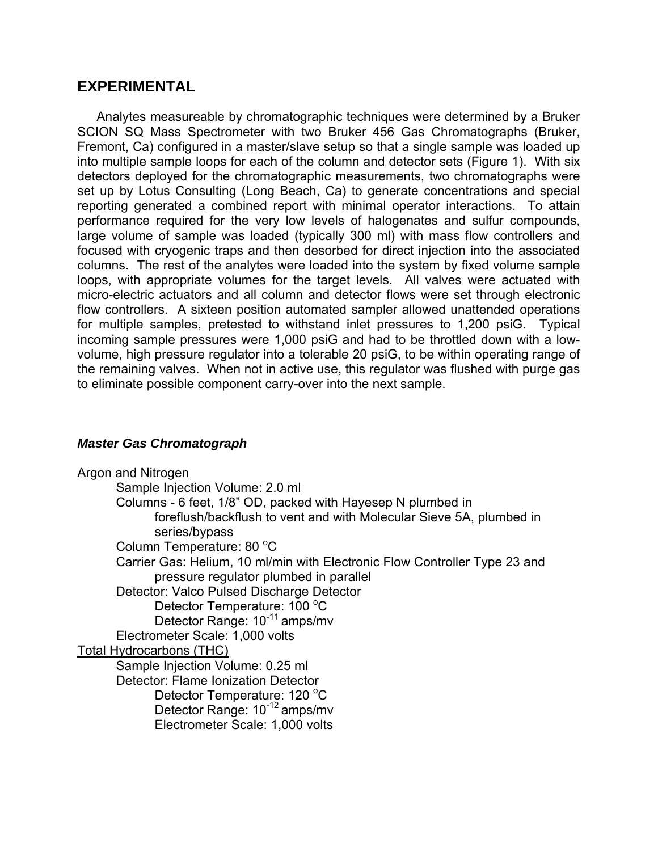### **EXPERIMENTAL**

 Analytes measureable by chromatographic techniques were determined by a Bruker SCION SQ Mass Spectrometer with two Bruker 456 Gas Chromatographs (Bruker, Fremont, Ca) configured in a master/slave setup so that a single sample was loaded up into multiple sample loops for each of the column and detector sets (Figure 1). With six detectors deployed for the chromatographic measurements, two chromatographs were set up by Lotus Consulting (Long Beach, Ca) to generate concentrations and special reporting generated a combined report with minimal operator interactions. To attain performance required for the very low levels of halogenates and sulfur compounds, large volume of sample was loaded (typically 300 ml) with mass flow controllers and focused with cryogenic traps and then desorbed for direct injection into the associated columns. The rest of the analytes were loaded into the system by fixed volume sample loops, with appropriate volumes for the target levels. All valves were actuated with micro-electric actuators and all column and detector flows were set through electronic flow controllers. A sixteen position automated sampler allowed unattended operations for multiple samples, pretested to withstand inlet pressures to 1,200 psiG. Typical incoming sample pressures were 1,000 psiG and had to be throttled down with a lowvolume, high pressure regulator into a tolerable 20 psiG, to be within operating range of the remaining valves. When not in active use, this regulator was flushed with purge gas to eliminate possible component carry-over into the next sample.

#### *Master Gas Chromatograph*

Argon and Nitrogen Sample Injection Volume: 2.0 ml Columns - 6 feet, 1/8" OD, packed with Hayesep N plumbed in foreflush/backflush to vent and with Molecular Sieve 5A, plumbed in series/bypass Column Temperature: 80 °C Carrier Gas: Helium, 10 ml/min with Electronic Flow Controller Type 23 and pressure regulator plumbed in parallel Detector: Valco Pulsed Discharge Detector Detector Temperature: 100 °C Detector Range: 10<sup>-11</sup> amps/mv Electrometer Scale: 1,000 volts Total Hydrocarbons (THC) Sample Injection Volume: 0.25 ml Detector: Flame Ionization Detector Detector Temperature: 120 °C Detector Range: 10-12 amps/mv Electrometer Scale: 1,000 volts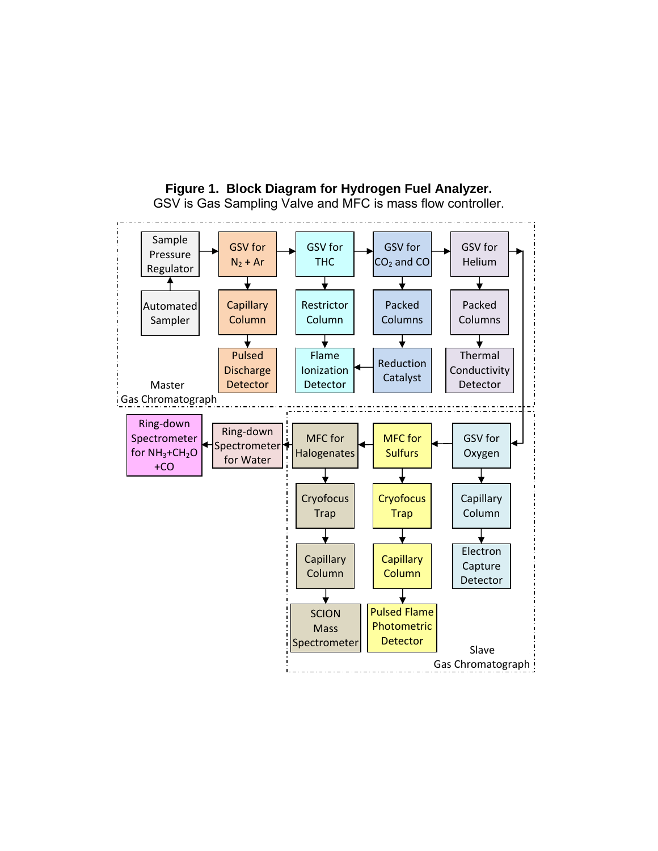

**Figure 1. Block Diagram for Hydrogen Fuel Analyzer.** GSV is Gas Sampling Valve and MFC is mass flow controller.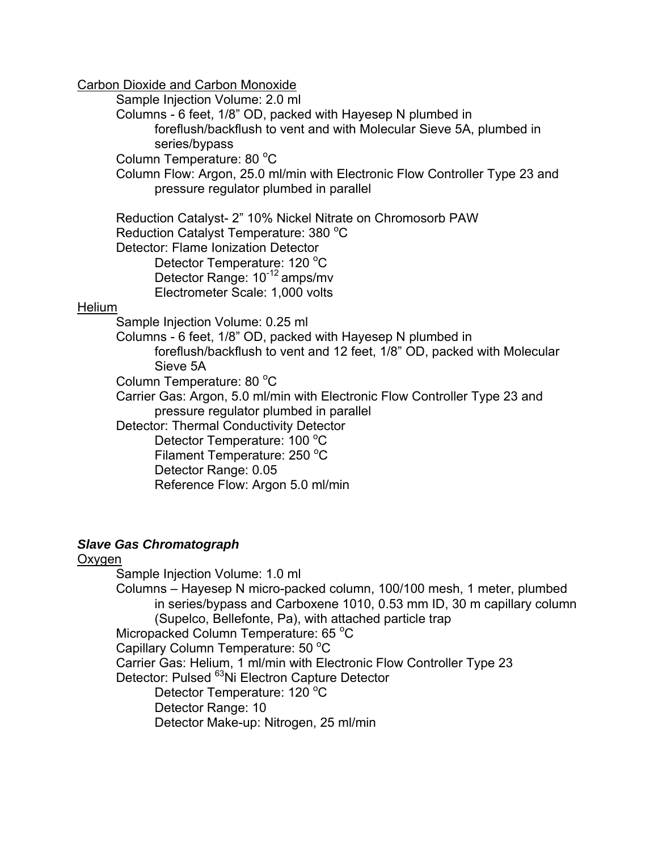Carbon Dioxide and Carbon Monoxide

Sample Injection Volume: 2.0 ml

Columns - 6 feet, 1/8" OD, packed with Hayesep N plumbed in

foreflush/backflush to vent and with Molecular Sieve 5A, plumbed in series/bypass

Column Temperature: 80 °C

Column Flow: Argon, 25.0 ml/min with Electronic Flow Controller Type 23 and pressure regulator plumbed in parallel

 Reduction Catalyst- 2" 10% Nickel Nitrate on Chromosorb PAW Reduction Catalyst Temperature: 380 °C Detector: Flame Ionization Detector Detector Temperature: 120 °C

 Detector Range: 10-12 amps/mv Electrometer Scale: 1,000 volts

### Helium

Sample Injection Volume: 0.25 ml

Columns - 6 feet, 1/8" OD, packed with Hayesep N plumbed in foreflush/backflush to vent and 12 feet, 1/8" OD, packed with Molecular Sieve 5A

Column Temperature: 80 °C

Carrier Gas: Argon, 5.0 ml/min with Electronic Flow Controller Type 23 and pressure regulator plumbed in parallel

Detector: Thermal Conductivity Detector

Detector Temperature: 100 °C

Filament Temperature: 250 °C Detector Range: 0.05

Reference Flow: Argon 5.0 ml/min

### *Slave Gas Chromatograph*

### Oxygen

Sample Injection Volume: 1.0 ml Columns – Hayesep N micro-packed column, 100/100 mesh, 1 meter, plumbed in series/bypass and Carboxene 1010, 0.53 mm ID, 30 m capillary column (Supelco, Bellefonte, Pa), with attached particle trap Micropacked Column Temperature: 65 °C Capillary Column Temperature: 50 °C Carrier Gas: Helium, 1 ml/min with Electronic Flow Controller Type 23 Detector: Pulsed <sup>63</sup>Ni Electron Capture Detector Detector Temperature: 120 °C Detector Range: 10 Detector Make-up: Nitrogen, 25 ml/min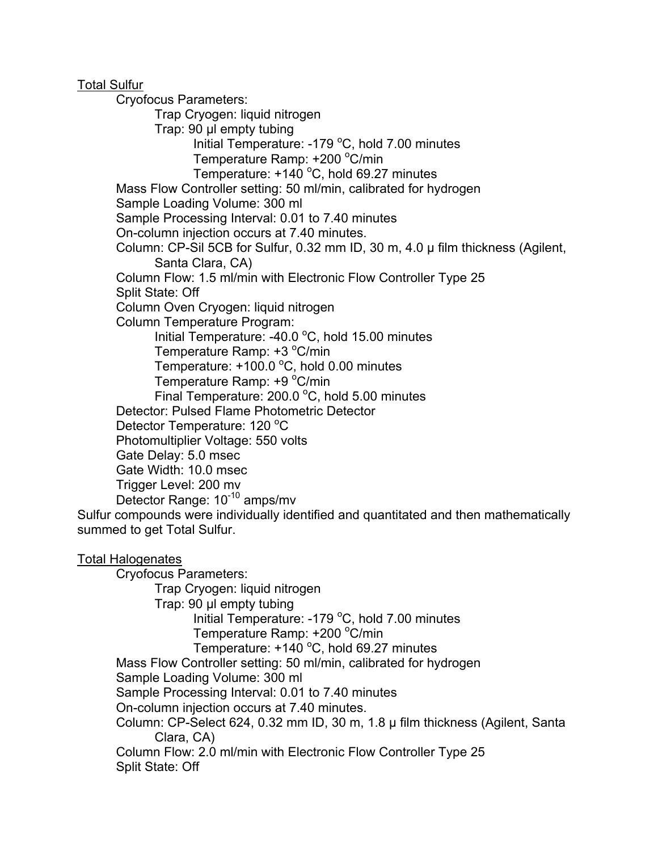Total Sulfur

Cryofocus Parameters:

Trap Cryogen: liquid nitrogen

Trap: 90 µl empty tubing

Initial Temperature:  $-179$  °C, hold 7.00 minutes

Temperature Ramp: +200 °C/min

Temperature:  $+140$  °C, hold 69.27 minutes

Mass Flow Controller setting: 50 ml/min, calibrated for hydrogen

Sample Loading Volume: 300 ml

Sample Processing Interval: 0.01 to 7.40 minutes

On-column injection occurs at 7.40 minutes.

Column: CP-Sil 5CB for Sulfur, 0.32 mm ID, 30 m, 4.0 µ film thickness (Agilent, Santa Clara, CA)

Column Flow: 1.5 ml/min with Electronic Flow Controller Type 25 Split State: Off

Column Oven Cryogen: liquid nitrogen

Column Temperature Program:

Initial Temperature: -40.0  $^{\circ}$ C, hold 15.00 minutes

Temperature Ramp: +3 °C/min Temperature:  $+100.0$  °C, hold 0.00 minutes

Temperature Ramp: +9 °C/min

Final Temperature:  $200.0$  °C, hold 5.00 minutes

Detector: Pulsed Flame Photometric Detector

Detector Temperature: 120 °C

Photomultiplier Voltage: 550 volts

Gate Delay: 5.0 msec

Gate Width: 10.0 msec

Trigger Level: 200 mv

Detector Range: 10-10 amps/mv

Sulfur compounds were individually identified and quantitated and then mathematically summed to get Total Sulfur.

Total Halogenates Cryofocus Parameters: Trap Cryogen: liquid nitrogen Trap: 90 µl empty tubing Initial Temperature: -179 °C, hold 7.00 minutes Temperature Ramp: +200 °C/min Temperature:  $+140$  °C, hold 69.27 minutes Mass Flow Controller setting: 50 ml/min, calibrated for hydrogen Sample Loading Volume: 300 ml Sample Processing Interval: 0.01 to 7.40 minutes On-column injection occurs at 7.40 minutes. Column: CP-Select 624, 0.32 mm ID, 30 m, 1.8 µ film thickness (Agilent, Santa Clara, CA) Column Flow: 2.0 ml/min with Electronic Flow Controller Type 25 Split State: Off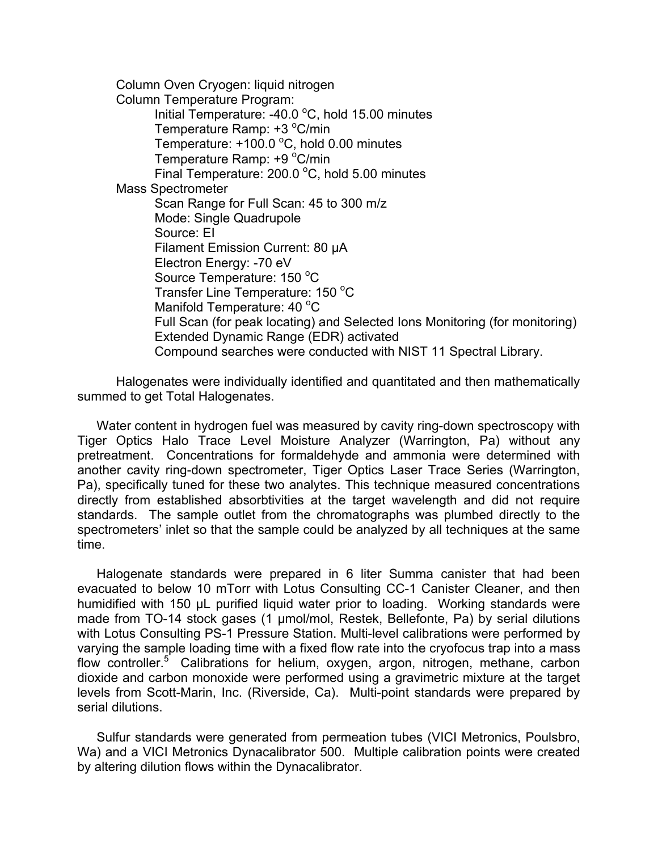Column Oven Cryogen: liquid nitrogen Column Temperature Program: Initial Temperature: -40.0  $^{\circ}$ C, hold 15.00 minutes Temperature Ramp: +3 °C/min Temperature:  $+100.0$  °C, hold 0.00 minutes Temperature Ramp: +9 °C/min Final Temperature:  $200.0$  °C, hold 5.00 minutes Mass Spectrometer Scan Range for Full Scan: 45 to 300 m/z Mode: Single Quadrupole Source: EI Filament Emission Current: 80 µA Electron Energy: -70 eV Source Temperature: 150 °C Transfer Line Temperature: 150 °C Manifold Temperature: 40 °C Full Scan (for peak locating) and Selected Ions Monitoring (for monitoring) Extended Dynamic Range (EDR) activated Compound searches were conducted with NIST 11 Spectral Library.

 Halogenates were individually identified and quantitated and then mathematically summed to get Total Halogenates.

 Water content in hydrogen fuel was measured by cavity ring-down spectroscopy with Tiger Optics Halo Trace Level Moisture Analyzer (Warrington, Pa) without any pretreatment. Concentrations for formaldehyde and ammonia were determined with another cavity ring-down spectrometer, Tiger Optics Laser Trace Series (Warrington, Pa), specifically tuned for these two analytes. This technique measured concentrations directly from established absorbtivities at the target wavelength and did not require standards. The sample outlet from the chromatographs was plumbed directly to the spectrometers' inlet so that the sample could be analyzed by all techniques at the same time.

 Halogenate standards were prepared in 6 liter Summa canister that had been evacuated to below 10 mTorr with Lotus Consulting CC-1 Canister Cleaner, and then humidified with 150 µL purified liquid water prior to loading. Working standards were made from TO-14 stock gases (1 µmol/mol, Restek, Bellefonte, Pa) by serial dilutions with Lotus Consulting PS-1 Pressure Station. Multi-level calibrations were performed by varying the sample loading time with a fixed flow rate into the cryofocus trap into a mass flow controller.<sup>5</sup> Calibrations for helium, oxygen, argon, nitrogen, methane, carbon dioxide and carbon monoxide were performed using a gravimetric mixture at the target levels from Scott-Marin, Inc. (Riverside, Ca). Multi-point standards were prepared by serial dilutions.

 Sulfur standards were generated from permeation tubes (VICI Metronics, Poulsbro, Wa) and a VICI Metronics Dynacalibrator 500. Multiple calibration points were created by altering dilution flows within the Dynacalibrator.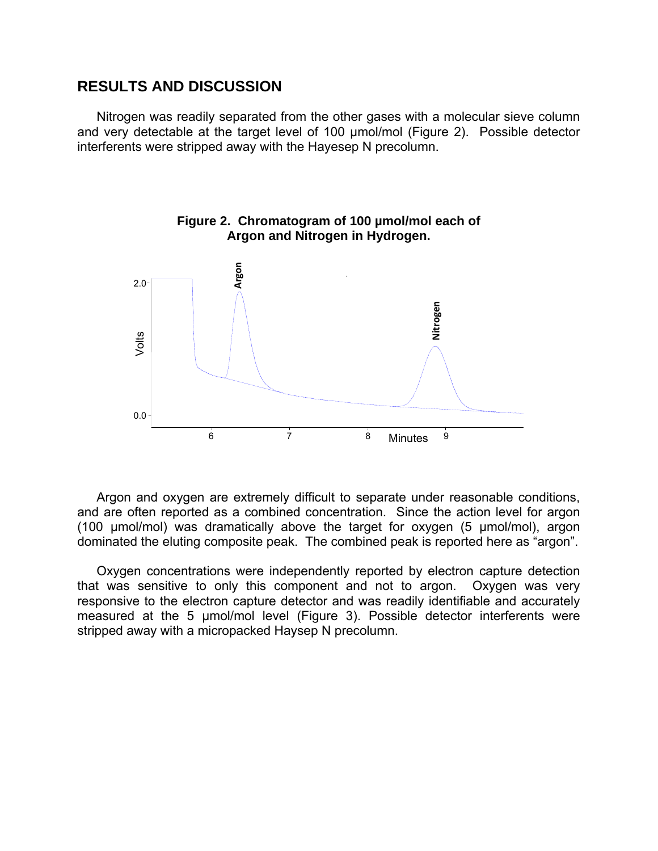#### **RESULTS AND DISCUSSION**

 Nitrogen was readily separated from the other gases with a molecular sieve column and very detectable at the target level of 100 µmol/mol (Figure 2). Possible detector interferents were stripped away with the Hayesep N precolumn.



**Figure 2. Chromatogram of 100 µmol/mol each of Argon and Nitrogen in Hydrogen.**

 Argon and oxygen are extremely difficult to separate under reasonable conditions, and are often reported as a combined concentration. Since the action level for argon (100 µmol/mol) was dramatically above the target for oxygen (5 µmol/mol), argon dominated the eluting composite peak. The combined peak is reported here as "argon".

 Oxygen concentrations were independently reported by electron capture detection that was sensitive to only this component and not to argon. Oxygen was very responsive to the electron capture detector and was readily identifiable and accurately measured at the 5 µmol/mol level (Figure 3). Possible detector interferents were stripped away with a micropacked Haysep N precolumn.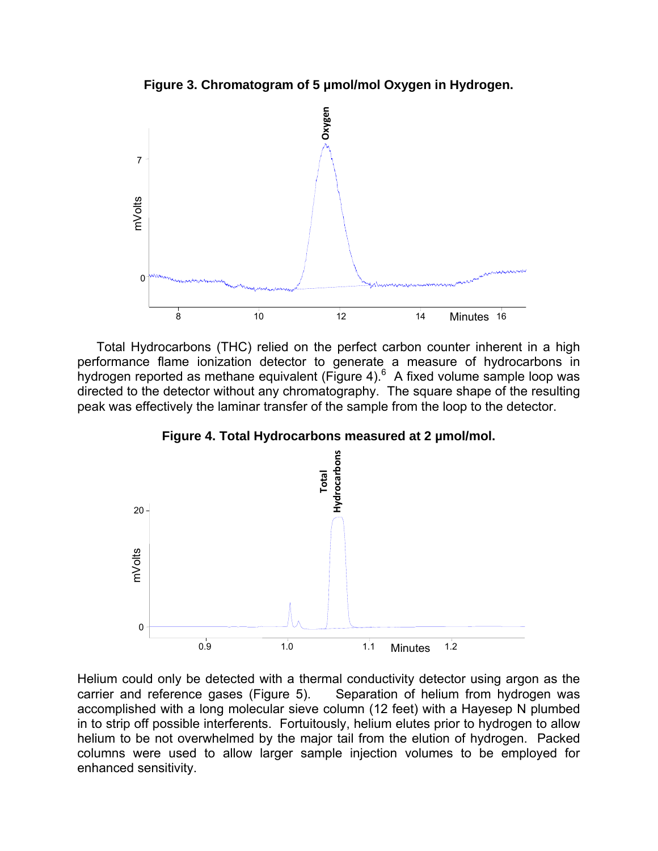**Figure 3. Chromatogram of 5 µmol/mol Oxygen in Hydrogen.** 



 Total Hydrocarbons (THC) relied on the perfect carbon counter inherent in a high performance flame ionization detector to generate a measure of hydrocarbons in hydrogen reported as methane equivalent (Figure 4). $^6$  A fixed volume sample loop was directed to the detector without any chromatography. The square shape of the resulting peak was effectively the laminar transfer of the sample from the loop to the detector.



**Figure 4. Total Hydrocarbons measured at 2 µmol/mol.** 

Helium could only be detected with a thermal conductivity detector using argon as the carrier and reference gases (Figure 5). Separation of helium from hydrogen was accomplished with a long molecular sieve column (12 feet) with a Hayesep N plumbed in to strip off possible interferents. Fortuitously, helium elutes prior to hydrogen to allow helium to be not overwhelmed by the major tail from the elution of hydrogen. Packed columns were used to allow larger sample injection volumes to be employed for enhanced sensitivity.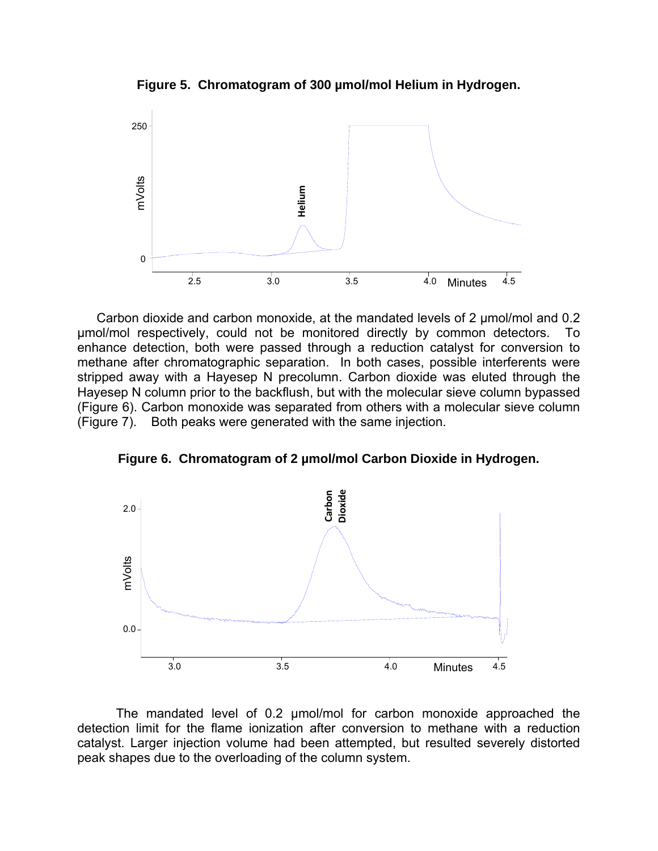**Figure 5. Chromatogram of 300 µmol/mol Helium in Hydrogen.** 



Carbon dioxide and carbon monoxide, at the mandated levels of 2 µmol/mol and 0.2 µmol/mol respectively, could not be monitored directly by common detectors. To enhance detection, both were passed through a reduction catalyst for conversion to methane after chromatographic separation. In both cases, possible interferents were stripped away with a Hayesep N precolumn. Carbon dioxide was eluted through the Hayesep N column prior to the backflush, but with the molecular sieve column bypassed (Figure 6). Carbon monoxide was separated from others with a molecular sieve column (Figure 7). Both peaks were generated with the same injection.

**Figure 6. Chromatogram of 2 µmol/mol Carbon Dioxide in Hydrogen.** 



 The mandated level of 0.2 µmol/mol for carbon monoxide approached the detection limit for the flame ionization after conversion to methane with a reduction catalyst. Larger injection volume had been attempted, but resulted severely distorted peak shapes due to the overloading of the column system.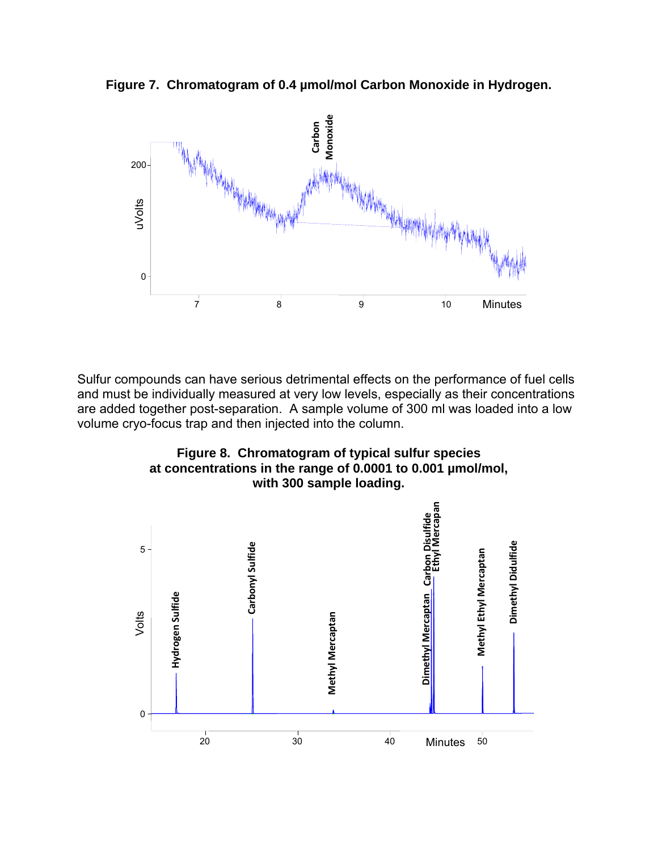**Figure 7. Chromatogram of 0.4 µmol/mol Carbon Monoxide in Hydrogen.** 



Sulfur compounds can have serious detrimental effects on the performance of fuel cells and must be individually measured at very low levels, especially as their concentrations are added together post-separation. A sample volume of 300 ml was loaded into a low volume cryo-focus trap and then injected into the column.



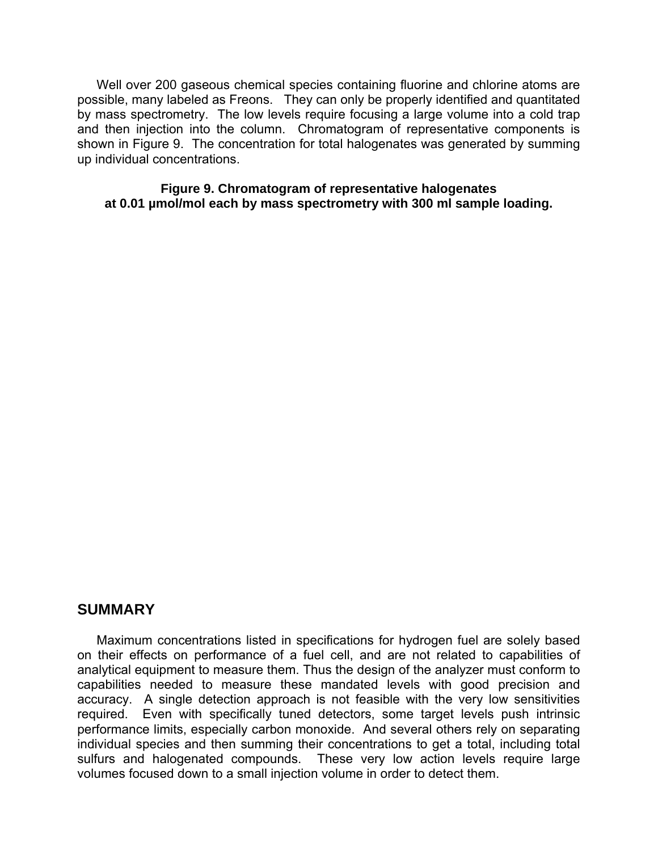Well over 200 gaseous chemical species containing fluorine and chlorine atoms are possible, many labeled as Freons. They can only be properly identified and quantitated by mass spectrometry. The low levels require focusing a large volume into a cold trap and then injection into the column. Chromatogram of representative components is shown in Figure 9. The concentration for total halogenates was generated by summing up individual concentrations.

**Figure 9. Chromatogram of representative halogenates at 0.01 µmol/mol each by mass spectrometry with 300 ml sample loading.** 

### **SUMMARY**

 Maximum concentrations listed in specifications for hydrogen fuel are solely based on their effects on performance of a fuel cell, and are not related to capabilities of analytical equipment to measure them. Thus the design of the analyzer must conform to capabilities needed to measure these mandated levels with good precision and accuracy. A single detection approach is not feasible with the very low sensitivities required. Even with specifically tuned detectors, some target levels push intrinsic performance limits, especially carbon monoxide. And several others rely on separating individual species and then summing their concentrations to get a total, including total sulfurs and halogenated compounds. These very low action levels require large volumes focused down to a small injection volume in order to detect them.